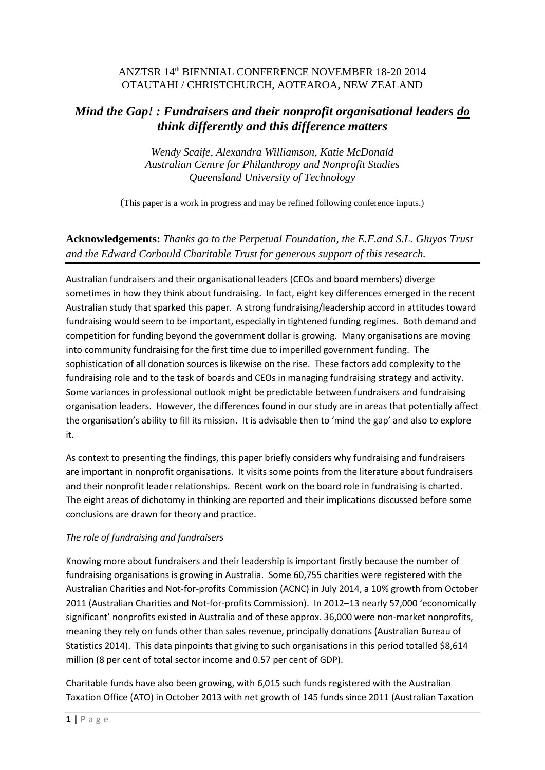## ANZTSR 14th BIENNIAL CONFERENCE NOVEMBER 18-20 2014 OTAUTAHI / CHRISTCHURCH, AOTEAROA, NEW ZEALAND

# *Mind the Gap! : Fundraisers and their nonprofit organisational leaders do think differently and this difference matters*

*Wendy Scaife, Alexandra Williamson, Katie McDonald Australian Centre for Philanthropy and Nonprofit Studies Queensland University of Technology*

(This paper is a work in progress and may be refined following conference inputs.)

## **Acknowledgements:** *Thanks go to the Perpetual Foundation, the E.F.and S.L. Gluyas Trust and the Edward Corbould Charitable Trust for generous support of this research.*

Australian fundraisers and their organisational leaders (CEOs and board members) diverge sometimes in how they think about fundraising. In fact, eight key differences emerged in the recent Australian study that sparked this paper. A strong fundraising/leadership accord in attitudes toward fundraising would seem to be important, especially in tightened funding regimes. Both demand and competition for funding beyond the government dollar is growing. Many organisations are moving into community fundraising for the first time due to imperilled government funding. The sophistication of all donation sources is likewise on the rise. These factors add complexity to the fundraising role and to the task of boards and CEOs in managing fundraising strategy and activity. Some variances in professional outlook might be predictable between fundraisers and fundraising organisation leaders. However, the differences found in our study are in areas that potentially affect the organisation's ability to fill its mission. It is advisable then to 'mind the gap' and also to explore it.

As context to presenting the findings, this paper briefly considers why fundraising and fundraisers are important in nonprofit organisations. It visits some points from the literature about fundraisers and their nonprofit leader relationships. Recent work on the board role in fundraising is charted. The eight areas of dichotomy in thinking are reported and their implications discussed before some conclusions are drawn for theory and practice.

### *The role of fundraising and fundraisers*

Knowing more about fundraisers and their leadership is important firstly because the number of fundraising organisations is growing in Australia. Some 60,755 charities were registered with the Australian Charities and Not-for-profits Commission (ACNC) in July 2014, a 10% growth from October 2011 (Australian Charities and Not-for-profits Commission). In 2012–13 nearly 57,000 'economically significant' nonprofits existed in Australia and of these approx. 36,000 were non-market nonprofits, meaning they rely on funds other than sales revenue, principally donations (Australian Bureau of Statistics 2014). This data pinpoints that giving to such organisations in this period totalled \$8,614 million (8 per cent of total sector income and 0.57 per cent of GDP).

Charitable funds have also been growing, with 6,015 such funds registered with the Australian Taxation Office (ATO) in October 2013 with net growth of 145 funds since 2011 (Australian Taxation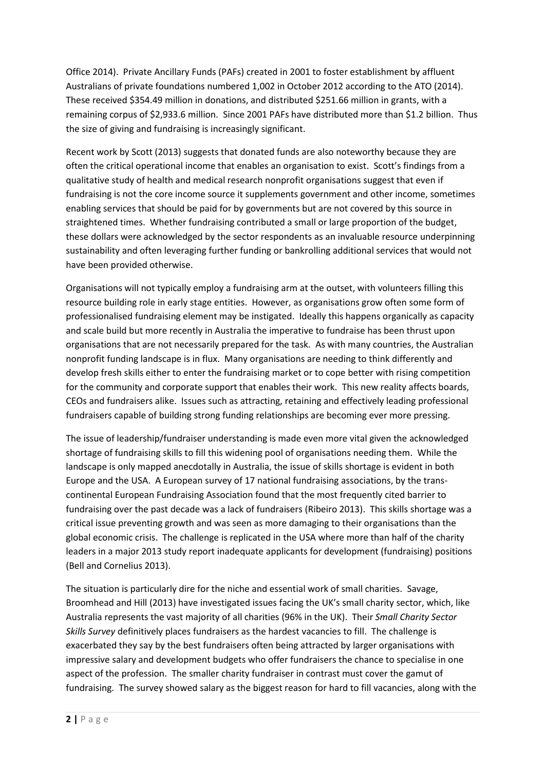Office 2014). Private Ancillary Funds (PAFs) created in 2001 to foster establishment by affluent Australians of private foundations numbered 1,002 in October 2012 according to the ATO (2014). These received \$354.49 million in donations, and distributed \$251.66 million in grants, with a remaining corpus of \$2,933.6 million. Since 2001 PAFs have distributed more than \$1.2 billion. Thus the size of giving and fundraising is increasingly significant.

Recent work by Scott (2013) suggests that donated funds are also noteworthy because they are often the critical operational income that enables an organisation to exist. Scott's findings from a qualitative study of health and medical research nonprofit organisations suggest that even if fundraising is not the core income source it supplements government and other income, sometimes enabling services that should be paid for by governments but are not covered by this source in straightened times. Whether fundraising contributed a small or large proportion of the budget, these dollars were acknowledged by the sector respondents as an invaluable resource underpinning sustainability and often leveraging further funding or bankrolling additional services that would not have been provided otherwise.

Organisations will not typically employ a fundraising arm at the outset, with volunteers filling this resource building role in early stage entities. However, as organisations grow often some form of professionalised fundraising element may be instigated. Ideally this happens organically as capacity and scale build but more recently in Australia the imperative to fundraise has been thrust upon organisations that are not necessarily prepared for the task. As with many countries, the Australian nonprofit funding landscape is in flux. Many organisations are needing to think differently and develop fresh skills either to enter the fundraising market or to cope better with rising competition for the community and corporate support that enables their work. This new reality affects boards, CEOs and fundraisers alike. Issues such as attracting, retaining and effectively leading professional fundraisers capable of building strong funding relationships are becoming ever more pressing.

The issue of leadership/fundraiser understanding is made even more vital given the acknowledged shortage of fundraising skills to fill this widening pool of organisations needing them. While the landscape is only mapped anecdotally in Australia, the issue of skills shortage is evident in both Europe and the USA. A European survey of 17 national fundraising associations, by the transcontinental European Fundraising Association found that the most frequently cited barrier to fundraising over the past decade was a lack of fundraisers (Ribeiro 2013). This skills shortage was a critical issue preventing growth and was seen as more damaging to their organisations than the global economic crisis. The challenge is replicated in the USA where more than half of the charity leaders in a major 2013 study report inadequate applicants for development (fundraising) positions (Bell and Cornelius 2013).

The situation is particularly dire for the niche and essential work of small charities. Savage, Broomhead and Hill (2013) have investigated issues facing the UK's small charity sector, which, like Australia represents the vast majority of all charities (96% in the UK). Their *Small Charity Sector Skills Survey* definitively places fundraisers as the hardest vacancies to fill. The challenge is exacerbated they say by the best fundraisers often being attracted by larger organisations with impressive salary and development budgets who offer fundraisers the chance to specialise in one aspect of the profession. The smaller charity fundraiser in contrast must cover the gamut of fundraising. The survey showed salary as the biggest reason for hard to fill vacancies, along with the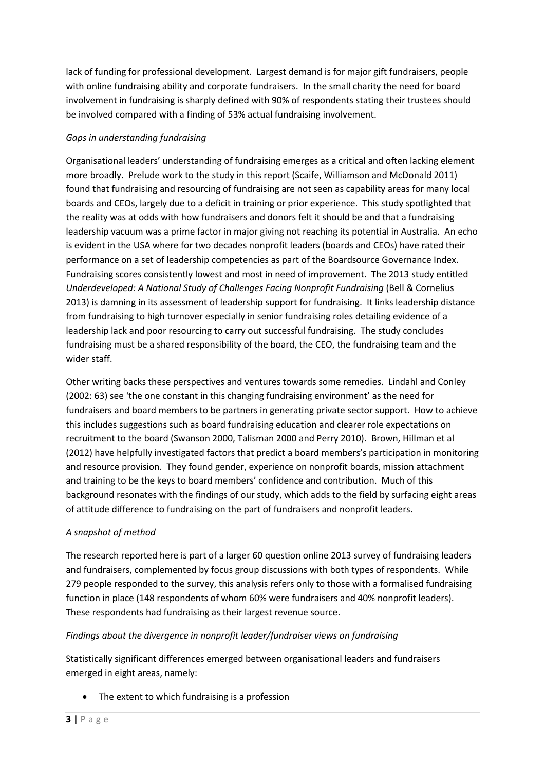lack of funding for professional development. Largest demand is for major gift fundraisers, people with online fundraising ability and corporate fundraisers. In the small charity the need for board involvement in fundraising is sharply defined with 90% of respondents stating their trustees should be involved compared with a finding of 53% actual fundraising involvement.

## *Gaps in understanding fundraising*

Organisational leaders' understanding of fundraising emerges as a critical and often lacking element more broadly. Prelude work to the study in this report (Scaife, Williamson and McDonald 2011) found that fundraising and resourcing of fundraising are not seen as capability areas for many local boards and CEOs, largely due to a deficit in training or prior experience. This study spotlighted that the reality was at odds with how fundraisers and donors felt it should be and that a fundraising leadership vacuum was a prime factor in major giving not reaching its potential in Australia. An echo is evident in the USA where for two decades nonprofit leaders (boards and CEOs) have rated their performance on a set of leadership competencies as part of the Boardsource Governance Index. Fundraising scores consistently lowest and most in need of improvement. The 2013 study entitled *Underdeveloped: A National Study of Challenges Facing Nonprofit Fundraising (Bell & Cornelius* 2013) is damning in its assessment of leadership support for fundraising. It links leadership distance from fundraising to high turnover especially in senior fundraising roles detailing evidence of a leadership lack and poor resourcing to carry out successful fundraising. The study concludes fundraising must be a shared responsibility of the board, the CEO, the fundraising team and the wider staff.

Other writing backs these perspectives and ventures towards some remedies. Lindahl and Conley (2002: 63) see 'the one constant in this changing fundraising environment' as the need for fundraisers and board members to be partners in generating private sector support. How to achieve this includes suggestions such as board fundraising education and clearer role expectations on recruitment to the board (Swanson 2000, Talisman 2000 and Perry 2010). Brown, Hillman et al (2012) have helpfully investigated factors that predict a board members's participation in monitoring and resource provision. They found gender, experience on nonprofit boards, mission attachment and training to be the keys to board members' confidence and contribution. Much of this background resonates with the findings of our study, which adds to the field by surfacing eight areas of attitude difference to fundraising on the part of fundraisers and nonprofit leaders.

### *A snapshot of method*

The research reported here is part of a larger 60 question online 2013 survey of fundraising leaders and fundraisers, complemented by focus group discussions with both types of respondents. While 279 people responded to the survey, this analysis refers only to those with a formalised fundraising function in place (148 respondents of whom 60% were fundraisers and 40% nonprofit leaders). These respondents had fundraising as their largest revenue source.

### *Findings about the divergence in nonprofit leader/fundraiser views on fundraising*

Statistically significant differences emerged between organisational leaders and fundraisers emerged in eight areas, namely:

• The extent to which fundraising is a profession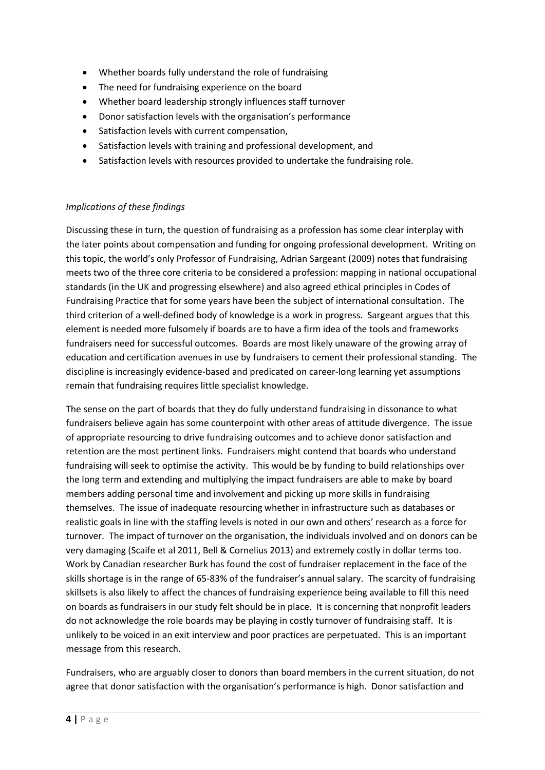- Whether boards fully understand the role of fundraising
- The need for fundraising experience on the board
- Whether board leadership strongly influences staff turnover
- Donor satisfaction levels with the organisation's performance
- Satisfaction levels with current compensation,
- Satisfaction levels with training and professional development, and
- Satisfaction levels with resources provided to undertake the fundraising role.

### *Implications of these findings*

Discussing these in turn, the question of fundraising as a profession has some clear interplay with the later points about compensation and funding for ongoing professional development. Writing on this topic, the world's only Professor of Fundraising, Adrian Sargeant (2009) notes that fundraising meets two of the three core criteria to be considered a profession: mapping in national occupational standards (in the UK and progressing elsewhere) and also agreed ethical principles in Codes of Fundraising Practice that for some years have been the subject of international consultation. The third criterion of a well-defined body of knowledge is a work in progress. Sargeant argues that this element is needed more fulsomely if boards are to have a firm idea of the tools and frameworks fundraisers need for successful outcomes. Boards are most likely unaware of the growing array of education and certification avenues in use by fundraisers to cement their professional standing. The discipline is increasingly evidence-based and predicated on career-long learning yet assumptions remain that fundraising requires little specialist knowledge.

The sense on the part of boards that they do fully understand fundraising in dissonance to what fundraisers believe again has some counterpoint with other areas of attitude divergence. The issue of appropriate resourcing to drive fundraising outcomes and to achieve donor satisfaction and retention are the most pertinent links. Fundraisers might contend that boards who understand fundraising will seek to optimise the activity. This would be by funding to build relationships over the long term and extending and multiplying the impact fundraisers are able to make by board members adding personal time and involvement and picking up more skills in fundraising themselves. The issue of inadequate resourcing whether in infrastructure such as databases or realistic goals in line with the staffing levels is noted in our own and others' research as a force for turnover. The impact of turnover on the organisation, the individuals involved and on donors can be very damaging (Scaife et al 2011, Bell & Cornelius 2013) and extremely costly in dollar terms too. Work by Canadian researcher Burk has found the cost of fundraiser replacement in the face of the skills shortage is in the range of 65-83% of the fundraiser's annual salary. The scarcity of fundraising skillsets is also likely to affect the chances of fundraising experience being available to fill this need on boards as fundraisers in our study felt should be in place. It is concerning that nonprofit leaders do not acknowledge the role boards may be playing in costly turnover of fundraising staff. It is unlikely to be voiced in an exit interview and poor practices are perpetuated. This is an important message from this research.

Fundraisers, who are arguably closer to donors than board members in the current situation, do not agree that donor satisfaction with the organisation's performance is high. Donor satisfaction and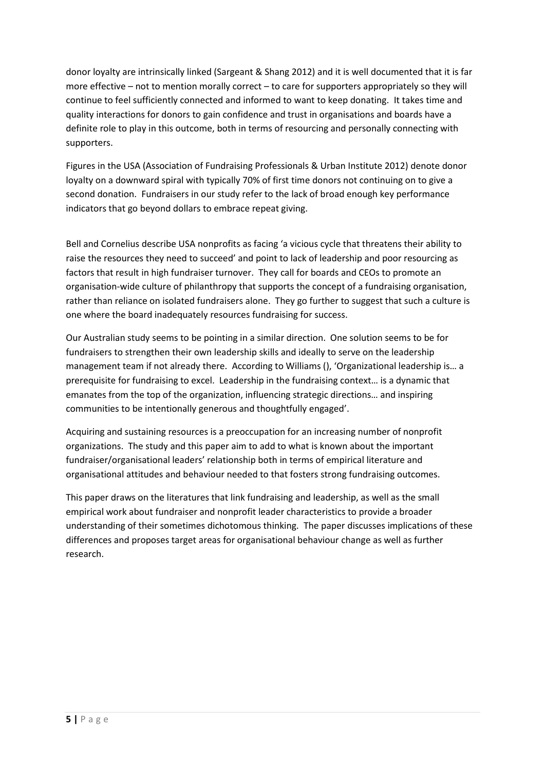donor loyalty are intrinsically linked (Sargeant & Shang 2012) and it is well documented that it is far more effective – not to mention morally correct – to care for supporters appropriately so they will continue to feel sufficiently connected and informed to want to keep donating. It takes time and quality interactions for donors to gain confidence and trust in organisations and boards have a definite role to play in this outcome, both in terms of resourcing and personally connecting with supporters.

Figures in the USA (Association of Fundraising Professionals & Urban Institute 2012) denote donor loyalty on a downward spiral with typically 70% of first time donors not continuing on to give a second donation. Fundraisers in our study refer to the lack of broad enough key performance indicators that go beyond dollars to embrace repeat giving.

Bell and Cornelius describe USA nonprofits as facing 'a vicious cycle that threatens their ability to raise the resources they need to succeed' and point to lack of leadership and poor resourcing as factors that result in high fundraiser turnover. They call for boards and CEOs to promote an organisation-wide culture of philanthropy that supports the concept of a fundraising organisation, rather than reliance on isolated fundraisers alone. They go further to suggest that such a culture is one where the board inadequately resources fundraising for success.

Our Australian study seems to be pointing in a similar direction. One solution seems to be for fundraisers to strengthen their own leadership skills and ideally to serve on the leadership management team if not already there. According to Williams (), 'Organizational leadership is… a prerequisite for fundraising to excel. Leadership in the fundraising context… is a dynamic that emanates from the top of the organization, influencing strategic directions… and inspiring communities to be intentionally generous and thoughtfully engaged'.

Acquiring and sustaining resources is a preoccupation for an increasing number of nonprofit organizations. The study and this paper aim to add to what is known about the important fundraiser/organisational leaders' relationship both in terms of empirical literature and organisational attitudes and behaviour needed to that fosters strong fundraising outcomes.

This paper draws on the literatures that link fundraising and leadership, as well as the small empirical work about fundraiser and nonprofit leader characteristics to provide a broader understanding of their sometimes dichotomous thinking. The paper discusses implications of these differences and proposes target areas for organisational behaviour change as well as further research.